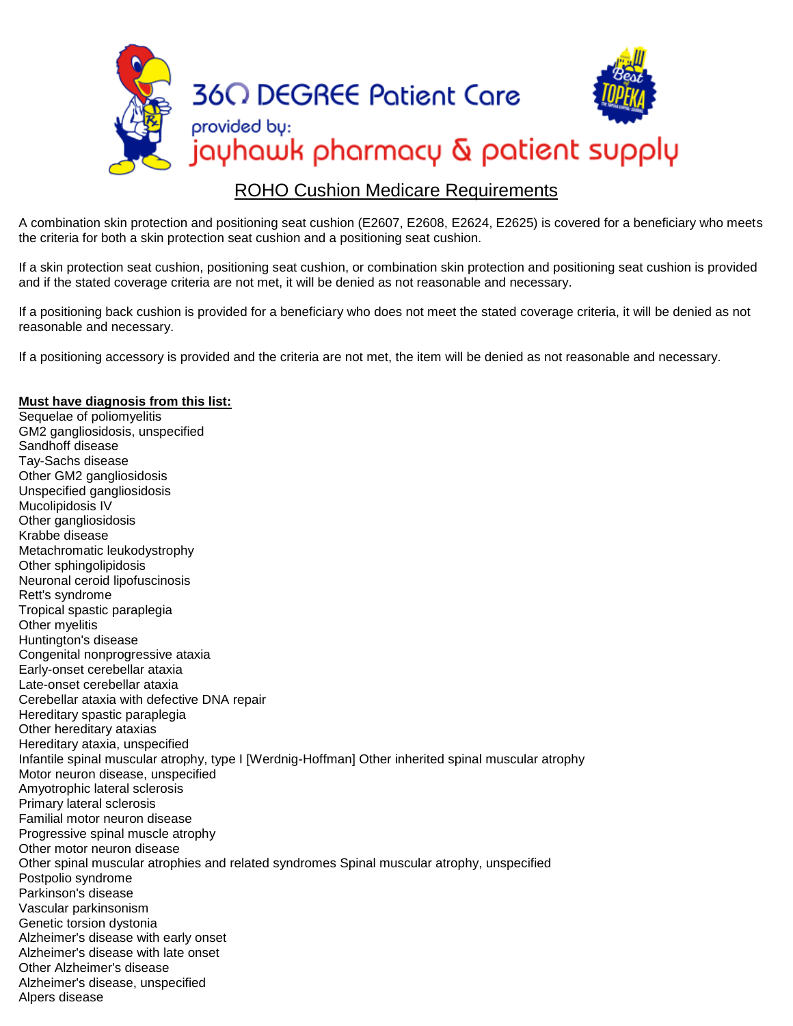

## ROHO Cushion Medicare Requirements

A combination skin protection and positioning seat cushion (E2607, E2608, E2624, E2625) is covered for a beneficiary who meets the criteria for both a skin protection seat cushion and a positioning seat cushion.

If a skin protection seat cushion, positioning seat cushion, or combination skin protection and positioning seat cushion is provided and if the stated coverage criteria are not met, it will be denied as not reasonable and necessary.

If a positioning back cushion is provided for a beneficiary who does not meet the stated coverage criteria, it will be denied as not reasonable and necessary.

If a positioning accessory is provided and the criteria are not met, the item will be denied as not reasonable and necessary.

## **Must have diagnosis from this list:**

Sequelae of poliomyelitis GM2 gangliosidosis, unspecified Sandhoff disease Tay-Sachs disease Other GM2 gangliosidosis Unspecified gangliosidosis Mucolipidosis IV Other gangliosidosis Krabbe disease Metachromatic leukodystrophy Other sphingolipidosis Neuronal ceroid lipofuscinosis Rett's syndrome Tropical spastic paraplegia Other myelitis Huntington's disease Congenital nonprogressive ataxia Early-onset cerebellar ataxia Late-onset cerebellar ataxia Cerebellar ataxia with defective DNA repair Hereditary spastic paraplegia Other hereditary ataxias Hereditary ataxia, unspecified Infantile spinal muscular atrophy, type I [Werdnig-Hoffman] Other inherited spinal muscular atrophy Motor neuron disease, unspecified Amyotrophic lateral sclerosis Primary lateral sclerosis Familial motor neuron disease Progressive spinal muscle atrophy Other motor neuron disease Other spinal muscular atrophies and related syndromes Spinal muscular atrophy, unspecified Postpolio syndrome Parkinson's disease Vascular parkinsonism Genetic torsion dystonia Alzheimer's disease with early onset Alzheimer's disease with late onset Other Alzheimer's disease Alzheimer's disease, unspecified Alpers disease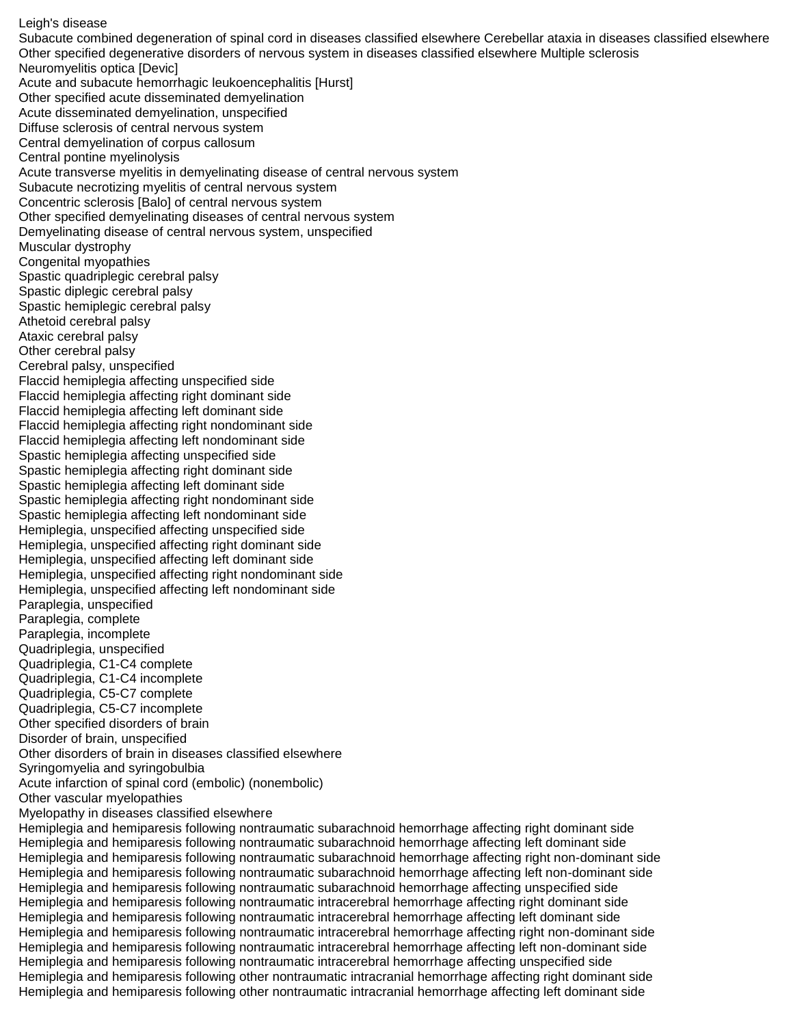Leigh's disease

Subacute combined degeneration of spinal cord in diseases classified elsewhere Cerebellar ataxia in diseases classified elsewhere Other specified degenerative disorders of nervous system in diseases classified elsewhere Multiple sclerosis Neuromyelitis optica [Devic] Acute and subacute hemorrhagic leukoencephalitis [Hurst] Other specified acute disseminated demyelination Acute disseminated demyelination, unspecified Diffuse sclerosis of central nervous system Central demyelination of corpus callosum Central pontine myelinolysis Acute transverse myelitis in demyelinating disease of central nervous system Subacute necrotizing myelitis of central nervous system Concentric sclerosis [Balo] of central nervous system Other specified demyelinating diseases of central nervous system Demyelinating disease of central nervous system, unspecified Muscular dystrophy Congenital myopathies Spastic quadriplegic cerebral palsy Spastic diplegic cerebral palsy Spastic hemiplegic cerebral palsy Athetoid cerebral palsy Ataxic cerebral palsy Other cerebral palsy Cerebral palsy, unspecified Flaccid hemiplegia affecting unspecified side Flaccid hemiplegia affecting right dominant side Flaccid hemiplegia affecting left dominant side Flaccid hemiplegia affecting right nondominant side Flaccid hemiplegia affecting left nondominant side Spastic hemiplegia affecting unspecified side Spastic hemiplegia affecting right dominant side Spastic hemiplegia affecting left dominant side Spastic hemiplegia affecting right nondominant side Spastic hemiplegia affecting left nondominant side Hemiplegia, unspecified affecting unspecified side Hemiplegia, unspecified affecting right dominant side Hemiplegia, unspecified affecting left dominant side Hemiplegia, unspecified affecting right nondominant side Hemiplegia, unspecified affecting left nondominant side Paraplegia, unspecified Paraplegia, complete Paraplegia, incomplete Quadriplegia, unspecified Quadriplegia, C1-C4 complete Quadriplegia, C1-C4 incomplete Quadriplegia, C5-C7 complete Quadriplegia, C5-C7 incomplete Other specified disorders of brain Disorder of brain, unspecified Other disorders of brain in diseases classified elsewhere Syringomyelia and syringobulbia Acute infarction of spinal cord (embolic) (nonembolic) Other vascular myelopathies Myelopathy in diseases classified elsewhere Hemiplegia and hemiparesis following nontraumatic subarachnoid hemorrhage affecting right dominant side Hemiplegia and hemiparesis following nontraumatic subarachnoid hemorrhage affecting left dominant side Hemiplegia and hemiparesis following nontraumatic subarachnoid hemorrhage affecting right non-dominant side Hemiplegia and hemiparesis following nontraumatic subarachnoid hemorrhage affecting left non-dominant side Hemiplegia and hemiparesis following nontraumatic subarachnoid hemorrhage affecting unspecified side Hemiplegia and hemiparesis following nontraumatic intracerebral hemorrhage affecting right dominant side Hemiplegia and hemiparesis following nontraumatic intracerebral hemorrhage affecting left dominant side Hemiplegia and hemiparesis following nontraumatic intracerebral hemorrhage affecting right non-dominant side Hemiplegia and hemiparesis following nontraumatic intracerebral hemorrhage affecting left non-dominant side Hemiplegia and hemiparesis following nontraumatic intracerebral hemorrhage affecting unspecified side Hemiplegia and hemiparesis following other nontraumatic intracranial hemorrhage affecting right dominant side Hemiplegia and hemiparesis following other nontraumatic intracranial hemorrhage affecting left dominant side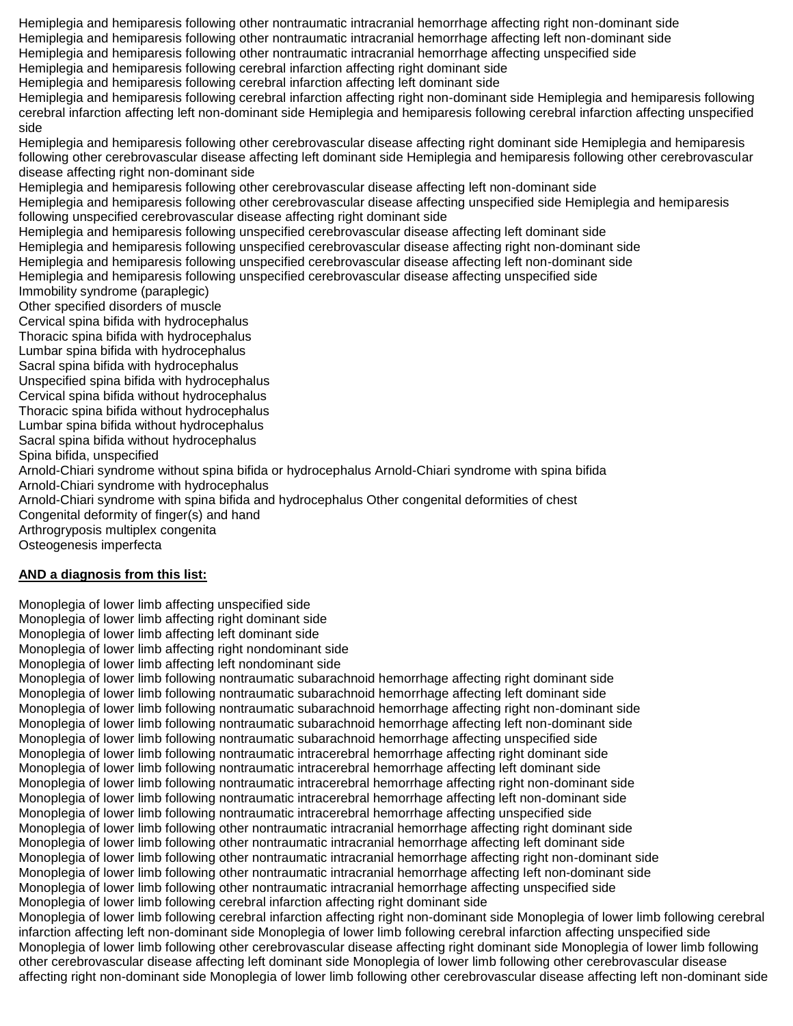Hemiplegia and hemiparesis following other nontraumatic intracranial hemorrhage affecting right non-dominant side Hemiplegia and hemiparesis following other nontraumatic intracranial hemorrhage affecting left non-dominant side Hemiplegia and hemiparesis following other nontraumatic intracranial hemorrhage affecting unspecified side

Hemiplegia and hemiparesis following cerebral infarction affecting right dominant side

Hemiplegia and hemiparesis following cerebral infarction affecting left dominant side

Hemiplegia and hemiparesis following cerebral infarction affecting right non-dominant side Hemiplegia and hemiparesis following cerebral infarction affecting left non-dominant side Hemiplegia and hemiparesis following cerebral infarction affecting unspecified side

Hemiplegia and hemiparesis following other cerebrovascular disease affecting right dominant side Hemiplegia and hemiparesis following other cerebrovascular disease affecting left dominant side Hemiplegia and hemiparesis following other cerebrovascular disease affecting right non-dominant side

Hemiplegia and hemiparesis following other cerebrovascular disease affecting left non-dominant side

Hemiplegia and hemiparesis following other cerebrovascular disease affecting unspecified side Hemiplegia and hemiparesis following unspecified cerebrovascular disease affecting right dominant side

Hemiplegia and hemiparesis following unspecified cerebrovascular disease affecting left dominant side

Hemiplegia and hemiparesis following unspecified cerebrovascular disease affecting right non-dominant side

Hemiplegia and hemiparesis following unspecified cerebrovascular disease affecting left non-dominant side

Hemiplegia and hemiparesis following unspecified cerebrovascular disease affecting unspecified side

Immobility syndrome (paraplegic)

Other specified disorders of muscle

Cervical spina bifida with hydrocephalus

Thoracic spina bifida with hydrocephalus

Lumbar spina bifida with hydrocephalus

Sacral spina bifida with hydrocephalus

Unspecified spina bifida with hydrocephalus

Cervical spina bifida without hydrocephalus

Thoracic spina bifida without hydrocephalus

Lumbar spina bifida without hydrocephalus

Sacral spina bifida without hydrocephalus Spina bifida, unspecified

Arnold-Chiari syndrome without spina bifida or hydrocephalus Arnold-Chiari syndrome with spina bifida Arnold-Chiari syndrome with hydrocephalus

Arnold-Chiari syndrome with spina bifida and hydrocephalus Other congenital deformities of chest

Congenital deformity of finger(s) and hand

Arthrogryposis multiplex congenita

Osteogenesis imperfecta

## **AND a diagnosis from this list:**

Monoplegia of lower limb affecting unspecified side Monoplegia of lower limb affecting right dominant side Monoplegia of lower limb affecting left dominant side Monoplegia of lower limb affecting right nondominant side Monoplegia of lower limb affecting left nondominant side Monoplegia of lower limb following nontraumatic subarachnoid hemorrhage affecting right dominant side Monoplegia of lower limb following nontraumatic subarachnoid hemorrhage affecting left dominant side Monoplegia of lower limb following nontraumatic subarachnoid hemorrhage affecting right non-dominant side Monoplegia of lower limb following nontraumatic subarachnoid hemorrhage affecting left non-dominant side Monoplegia of lower limb following nontraumatic subarachnoid hemorrhage affecting unspecified side Monoplegia of lower limb following nontraumatic intracerebral hemorrhage affecting right dominant side Monoplegia of lower limb following nontraumatic intracerebral hemorrhage affecting left dominant side Monoplegia of lower limb following nontraumatic intracerebral hemorrhage affecting right non-dominant side Monoplegia of lower limb following nontraumatic intracerebral hemorrhage affecting left non-dominant side Monoplegia of lower limb following nontraumatic intracerebral hemorrhage affecting unspecified side Monoplegia of lower limb following other nontraumatic intracranial hemorrhage affecting right dominant side Monoplegia of lower limb following other nontraumatic intracranial hemorrhage affecting left dominant side Monoplegia of lower limb following other nontraumatic intracranial hemorrhage affecting right non-dominant side Monoplegia of lower limb following other nontraumatic intracranial hemorrhage affecting left non-dominant side Monoplegia of lower limb following other nontraumatic intracranial hemorrhage affecting unspecified side Monoplegia of lower limb following cerebral infarction affecting right dominant side Monoplegia of lower limb following cerebral infarction affecting right non-dominant side Monoplegia of lower limb following cerebral infarction affecting left non-dominant side Monoplegia of lower limb following cerebral infarction affecting unspecified side Monoplegia of lower limb following other cerebrovascular disease affecting right dominant side Monoplegia of lower limb following other cerebrovascular disease affecting left dominant side Monoplegia of lower limb following other cerebrovascular disease affecting right non-dominant side Monoplegia of lower limb following other cerebrovascular disease affecting left non-dominant side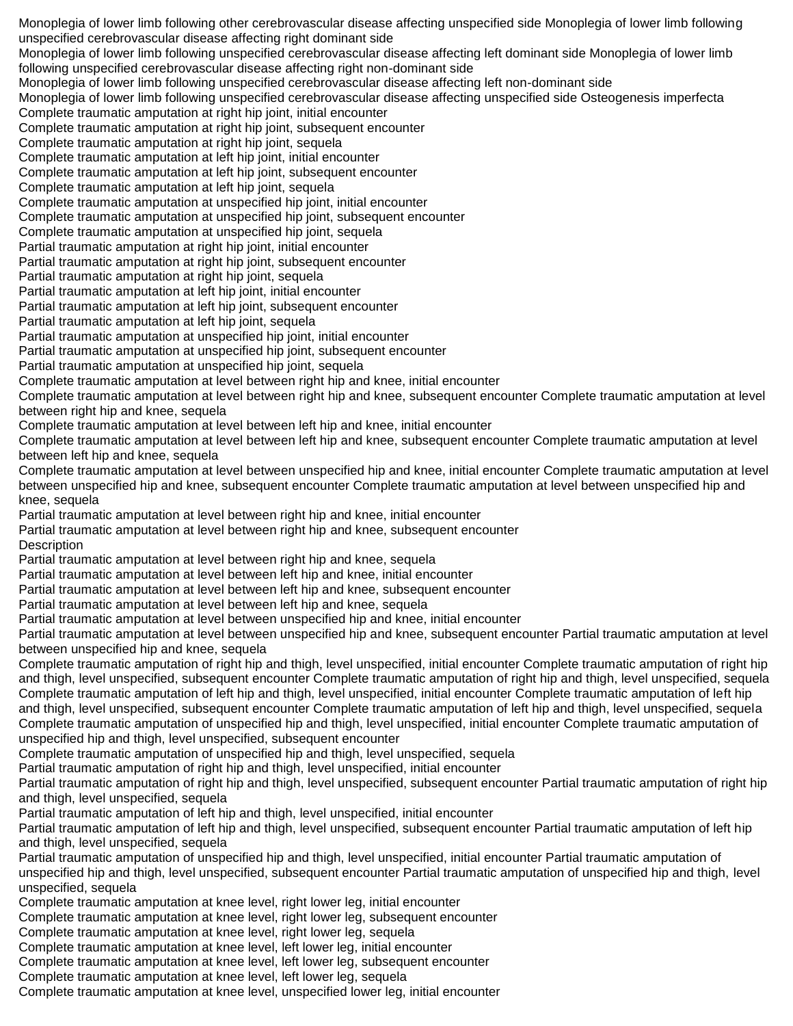Monoplegia of lower limb following other cerebrovascular disease affecting unspecified side Monoplegia of lower limb following unspecified cerebrovascular disease affecting right dominant side Monoplegia of lower limb following unspecified cerebrovascular disease affecting left dominant side Monoplegia of lower limb following unspecified cerebrovascular disease affecting right non-dominant side Monoplegia of lower limb following unspecified cerebrovascular disease affecting left non-dominant side Monoplegia of lower limb following unspecified cerebrovascular disease affecting unspecified side Osteogenesis imperfecta Complete traumatic amputation at right hip joint, initial encounter Complete traumatic amputation at right hip joint, subsequent encounter Complete traumatic amputation at right hip joint, sequela Complete traumatic amputation at left hip joint, initial encounter Complete traumatic amputation at left hip joint, subsequent encounter Complete traumatic amputation at left hip joint, sequela Complete traumatic amputation at unspecified hip joint, initial encounter Complete traumatic amputation at unspecified hip joint, subsequent encounter Complete traumatic amputation at unspecified hip joint, sequela Partial traumatic amputation at right hip joint, initial encounter Partial traumatic amputation at right hip joint, subsequent encounter Partial traumatic amputation at right hip joint, sequela Partial traumatic amputation at left hip joint, initial encounter Partial traumatic amputation at left hip joint, subsequent encounter Partial traumatic amputation at left hip joint, sequela Partial traumatic amputation at unspecified hip joint, initial encounter Partial traumatic amputation at unspecified hip joint, subsequent encounter Partial traumatic amputation at unspecified hip joint, sequela Complete traumatic amputation at level between right hip and knee, initial encounter Complete traumatic amputation at level between right hip and knee, subsequent encounter Complete traumatic amputation at level between right hip and knee, sequela Complete traumatic amputation at level between left hip and knee, initial encounter Complete traumatic amputation at level between left hip and knee, subsequent encounter Complete traumatic amputation at level between left hip and knee, sequela Complete traumatic amputation at level between unspecified hip and knee, initial encounter Complete traumatic amputation at level between unspecified hip and knee, subsequent encounter Complete traumatic amputation at level between unspecified hip and knee, sequela Partial traumatic amputation at level between right hip and knee, initial encounter Partial traumatic amputation at level between right hip and knee, subsequent encounter **Description** Partial traumatic amputation at level between right hip and knee, sequela Partial traumatic amputation at level between left hip and knee, initial encounter Partial traumatic amputation at level between left hip and knee, subsequent encounter Partial traumatic amputation at level between left hip and knee, sequela Partial traumatic amputation at level between unspecified hip and knee, initial encounter Partial traumatic amputation at level between unspecified hip and knee, subsequent encounter Partial traumatic amputation at level between unspecified hip and knee, sequela Complete traumatic amputation of right hip and thigh, level unspecified, initial encounter Complete traumatic amputation of right hip and thigh, level unspecified, subsequent encounter Complete traumatic amputation of right hip and thigh, level unspecified, sequela Complete traumatic amputation of left hip and thigh, level unspecified, initial encounter Complete traumatic amputation of left hip and thigh, level unspecified, subsequent encounter Complete traumatic amputation of left hip and thigh, level unspecified, sequela Complete traumatic amputation of unspecified hip and thigh, level unspecified, initial encounter Complete traumatic amputation of unspecified hip and thigh, level unspecified, subsequent encounter Complete traumatic amputation of unspecified hip and thigh, level unspecified, sequela Partial traumatic amputation of right hip and thigh, level unspecified, initial encounter Partial traumatic amputation of right hip and thigh, level unspecified, subsequent encounter Partial traumatic amputation of right hip and thigh, level unspecified, sequela Partial traumatic amputation of left hip and thigh, level unspecified, initial encounter Partial traumatic amputation of left hip and thigh, level unspecified, subsequent encounter Partial traumatic amputation of left hip and thigh, level unspecified, sequela Partial traumatic amputation of unspecified hip and thigh, level unspecified, initial encounter Partial traumatic amputation of unspecified hip and thigh, level unspecified, subsequent encounter Partial traumatic amputation of unspecified hip and thigh, level unspecified, sequela Complete traumatic amputation at knee level, right lower leg, initial encounter Complete traumatic amputation at knee level, right lower leg, subsequent encounter Complete traumatic amputation at knee level, right lower leg, sequela Complete traumatic amputation at knee level, left lower leg, initial encounter Complete traumatic amputation at knee level, left lower leg, subsequent encounter Complete traumatic amputation at knee level, left lower leg, sequela Complete traumatic amputation at knee level, unspecified lower leg, initial encounter